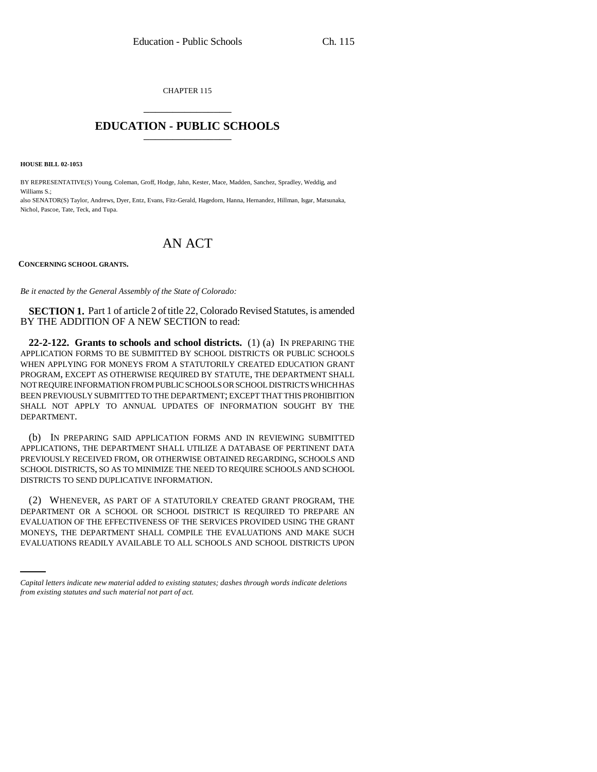CHAPTER 115 \_\_\_\_\_\_\_\_\_\_\_\_\_\_\_

## **EDUCATION - PUBLIC SCHOOLS** \_\_\_\_\_\_\_\_\_\_\_\_\_\_\_

**HOUSE BILL 02-1053**

BY REPRESENTATIVE(S) Young, Coleman, Groff, Hodge, Jahn, Kester, Mace, Madden, Sanchez, Spradley, Weddig, and Williams S.;

also SENATOR(S) Taylor, Andrews, Dyer, Entz, Evans, Fitz-Gerald, Hagedorn, Hanna, Hernandez, Hillman, Isgar, Matsunaka, Nichol, Pascoe, Tate, Teck, and Tupa.

## AN ACT

**CONCERNING SCHOOL GRANTS.**

*Be it enacted by the General Assembly of the State of Colorado:*

**SECTION 1.** Part 1 of article 2 of title 22, Colorado Revised Statutes, is amended BY THE ADDITION OF A NEW SECTION to read:

**22-2-122. Grants to schools and school districts.** (1) (a) IN PREPARING THE APPLICATION FORMS TO BE SUBMITTED BY SCHOOL DISTRICTS OR PUBLIC SCHOOLS WHEN APPLYING FOR MONEYS FROM A STATUTORILY CREATED EDUCATION GRANT PROGRAM, EXCEPT AS OTHERWISE REQUIRED BY STATUTE, THE DEPARTMENT SHALL NOT REQUIRE INFORMATION FROM PUBLIC SCHOOLS OR SCHOOL DISTRICTS WHICH HAS BEEN PREVIOUSLY SUBMITTED TO THE DEPARTMENT; EXCEPT THAT THIS PROHIBITION SHALL NOT APPLY TO ANNUAL UPDATES OF INFORMATION SOUGHT BY THE DEPARTMENT.

(b) IN PREPARING SAID APPLICATION FORMS AND IN REVIEWING SUBMITTED APPLICATIONS, THE DEPARTMENT SHALL UTILIZE A DATABASE OF PERTINENT DATA PREVIOUSLY RECEIVED FROM, OR OTHERWISE OBTAINED REGARDING, SCHOOLS AND SCHOOL DISTRICTS, SO AS TO MINIMIZE THE NEED TO REQUIRE SCHOOLS AND SCHOOL DISTRICTS TO SEND DUPLICATIVE INFORMATION.

EVALUATION OF THE EFFECTIVENESS OF THE SERVICES PROVIDED USING THE GRANT (2) WHENEVER, AS PART OF A STATUTORILY CREATED GRANT PROGRAM, THE DEPARTMENT OR A SCHOOL OR SCHOOL DISTRICT IS REQUIRED TO PREPARE AN MONEYS, THE DEPARTMENT SHALL COMPILE THE EVALUATIONS AND MAKE SUCH EVALUATIONS READILY AVAILABLE TO ALL SCHOOLS AND SCHOOL DISTRICTS UPON

*Capital letters indicate new material added to existing statutes; dashes through words indicate deletions from existing statutes and such material not part of act.*